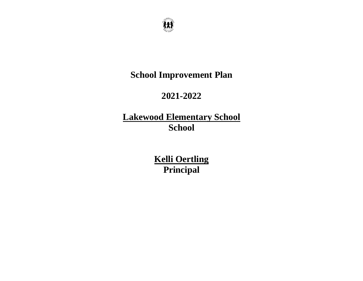

# **School Improvement Plan**

# **2021-2022**

# **Lakewood Elementary School School**

**Kelli Oertling Principal**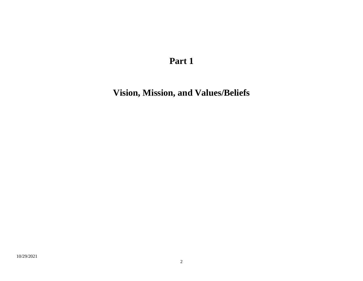**Vision, Mission, and Values/Beliefs**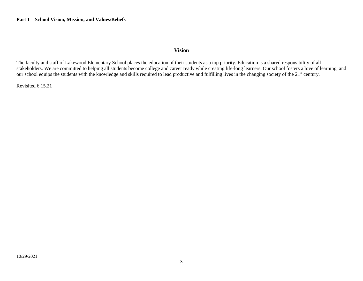#### **Vision**

The faculty and staff of Lakewood Elementary School places the education of their students as a top priority. Education is a shared responsibility of all stakeholders. We are committed to helping all students become college and career ready while creating life-long learners. Our school fosters a love of learning, and our school equips the students with the knowledge and skills required to lead productive and fulfilling lives in the changing society of the 21<sup>st</sup> century.

Revisited 6.15.21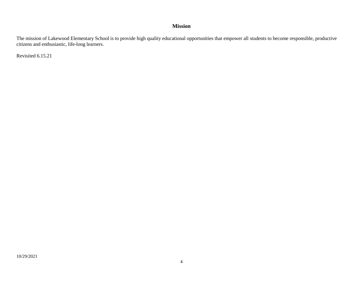#### **Mission**

The mission of Lakewood Elementary School is to provide high quality educational opportunities that empower all students to become responsible, productive citizens and enthusiastic, life-long learners.

Revisited 6.15.21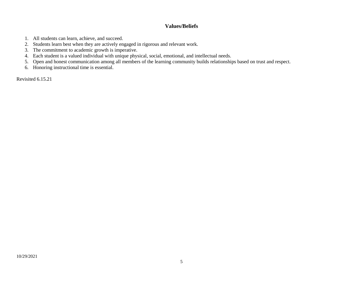#### **Values/Beliefs**

- 1. All students can learn, achieve, and succeed.
- 2. Students learn best when they are actively engaged in rigorous and relevant work.
- 3. The commitment to academic growth is imperative.
- 4. Each student is a valued individual with unique physical, social, emotional, and intellectual needs.
- 5. Open and honest communication among all members of the learning community builds relationships based on trust and respect.
- 6. Honoring instructional time is essential.

Revisited 6.15.21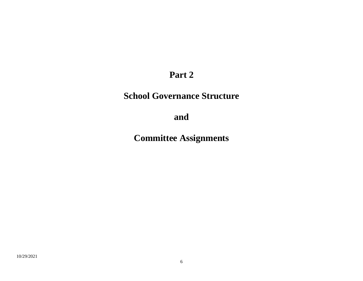# **School Governance Structure**

**and**

**Committee Assignments**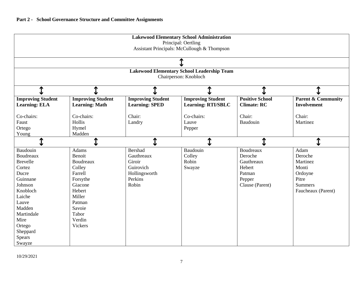| <b>Lakewood Elementary School Administration</b><br>Principal: Oertling<br>Assistant Principals: McCullough & Thompson |                                                   |                          |                           |                        |                               |  |  |  |  |  |
|------------------------------------------------------------------------------------------------------------------------|---------------------------------------------------|--------------------------|---------------------------|------------------------|-------------------------------|--|--|--|--|--|
|                                                                                                                        |                                                   |                          |                           |                        |                               |  |  |  |  |  |
|                                                                                                                        | <b>Lakewood Elementary School Leadership Team</b> |                          |                           |                        |                               |  |  |  |  |  |
|                                                                                                                        |                                                   |                          | Chairperson: Knobloch     |                        |                               |  |  |  |  |  |
| Ѧ                                                                                                                      |                                                   |                          |                           |                        |                               |  |  |  |  |  |
| <b>Improving Student</b>                                                                                               | <b>Improving Student</b>                          | <b>Improving Student</b> | <b>Improving Student</b>  | <b>Positive School</b> | <b>Parent &amp; Community</b> |  |  |  |  |  |
| <b>Learning: ELA</b>                                                                                                   | <b>Learning: Math</b>                             | <b>Learning: SPED</b>    | <b>Learning: RTI/SBLC</b> | <b>Climate: RC</b>     | <b>Involvement</b>            |  |  |  |  |  |
| Co-chairs:                                                                                                             | Co-chairs:                                        | Chair:                   | Co-chairs:                | Chair:                 | Chair:                        |  |  |  |  |  |
| Faust                                                                                                                  | Hollis                                            | Landry                   | Lauve                     | Baudouin               | Martinez                      |  |  |  |  |  |
| Ortego                                                                                                                 | Hymel                                             |                          | Pepper                    |                        |                               |  |  |  |  |  |
| Young                                                                                                                  | Madden                                            |                          |                           |                        |                               |  |  |  |  |  |
|                                                                                                                        |                                                   |                          | ↥                         |                        | $\textcolor{red}{\textbf{I}}$ |  |  |  |  |  |
| Baudouin                                                                                                               | <b>Adams</b>                                      | <b>Bershad</b>           | Baudouin                  | <b>Boudreaux</b>       | Adam                          |  |  |  |  |  |
| Boudreaux                                                                                                              | Benoit                                            | Gauthreaux               | Colley                    | Deroche                | Deroche                       |  |  |  |  |  |
| <b>Brevelle</b>                                                                                                        | Boudreaux                                         | Giroir                   | Robin                     | Gauthreaux             | Martinez                      |  |  |  |  |  |
| Cortez                                                                                                                 | Colley                                            | Guirovich                | Swayze                    | Hebert                 | Monti                         |  |  |  |  |  |
| Ducre                                                                                                                  | Farrell                                           | Hollingsworth            |                           | Patman                 | Ordoyne                       |  |  |  |  |  |
| Guinnane                                                                                                               | Forsythe                                          | Perkins                  |                           | Pepper                 | Pitre                         |  |  |  |  |  |
| Johnson                                                                                                                | Giacone                                           | Robin                    |                           | Clause (Parent)        | <b>Summers</b>                |  |  |  |  |  |
| Knobloch                                                                                                               | Hebert                                            |                          |                           |                        | Faucheaux (Parent)            |  |  |  |  |  |
| Laiche                                                                                                                 | Miller                                            |                          |                           |                        |                               |  |  |  |  |  |
| Lauve                                                                                                                  | Patman                                            |                          |                           |                        |                               |  |  |  |  |  |
| Madden                                                                                                                 | Savoie                                            |                          |                           |                        |                               |  |  |  |  |  |
| Martindale                                                                                                             | Tabor                                             |                          |                           |                        |                               |  |  |  |  |  |
| Mire                                                                                                                   | Verdin                                            |                          |                           |                        |                               |  |  |  |  |  |
| Ortego                                                                                                                 | <b>Vickers</b>                                    |                          |                           |                        |                               |  |  |  |  |  |
| Sheppard                                                                                                               |                                                   |                          |                           |                        |                               |  |  |  |  |  |
| Spears                                                                                                                 |                                                   |                          |                           |                        |                               |  |  |  |  |  |
| Swayze                                                                                                                 |                                                   |                          |                           |                        |                               |  |  |  |  |  |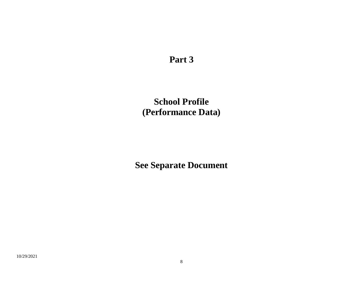**School Profile (Performance Data)**

**See Separate Document**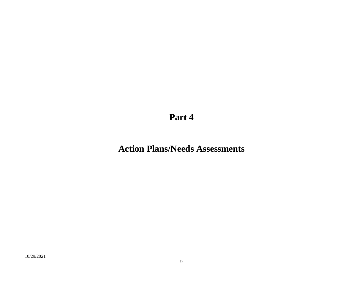# **Action Plans/Needs Assessments**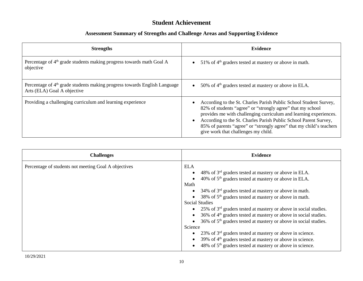# **Student Achievement**

| <b>Strengths</b>                                                                                                     | <b>Evidence</b>                                                                                                                                                                                                                                                                                                                                                                        |
|----------------------------------------------------------------------------------------------------------------------|----------------------------------------------------------------------------------------------------------------------------------------------------------------------------------------------------------------------------------------------------------------------------------------------------------------------------------------------------------------------------------------|
| Percentage of $4th$ grade students making progress towards math Goal A<br>objective                                  | 51% of 4 <sup>th</sup> graders tested at mastery or above in math.                                                                                                                                                                                                                                                                                                                     |
| Percentage of 4 <sup>th</sup> grade students making progress towards English Language<br>Arts (ELA) Goal A objective | 50% of $4th$ graders tested at mastery or above in ELA.                                                                                                                                                                                                                                                                                                                                |
| Providing a challenging curriculum and learning experience                                                           | According to the St. Charles Parish Public School Student Survey,<br>82% of students "agree" or "strongly agree" that my school<br>provides me with challenging curriculum and learning experiences.<br>According to the St. Charles Parish Public School Parent Survey,<br>85% of parents "agree" or "strongly agree" that my child's teachers<br>give work that challenges my child. |

| <b>Challenges</b>                                    | <b>Evidence</b>                                                                                                                                                                                                                                                                                                                                                                                                                                                                                                                                                                                                                                                                                                                                                         |
|------------------------------------------------------|-------------------------------------------------------------------------------------------------------------------------------------------------------------------------------------------------------------------------------------------------------------------------------------------------------------------------------------------------------------------------------------------------------------------------------------------------------------------------------------------------------------------------------------------------------------------------------------------------------------------------------------------------------------------------------------------------------------------------------------------------------------------------|
| Percentage of students not meeting Goal A objectives | <b>ELA</b><br>48% of $3rd$ graders tested at mastery or above in ELA.<br>40% of $5th$ graders tested at mastery or above in ELA.<br>Math<br>34% of $3rd$ graders tested at mastery or above in math.<br>38% of 5 <sup>th</sup> graders tested at mastery or above in math.<br><b>Social Studies</b><br>• 25% of $3rd$ graders tested at mastery or above in social studies.<br>36% of 4 <sup>th</sup> graders tested at mastery or above in social studies.<br>36% of 5 <sup>th</sup> graders tested at mastery or above in social studies.<br>Science<br>23% of $3rd$ graders tested at mastery or above in science.<br>39% of 4 <sup>th</sup> graders tested at mastery or above in science.<br>48% of 5 <sup>th</sup> graders tested at mastery or above in science. |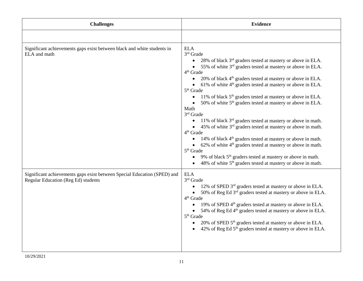| <b>Challenges</b>                                                                                               | <b>Evidence</b>                                                                                                                                                                                                                                                                                                                                                                                                                                                                                                                                                                                                                                                                                                                                                                                                                                                                                                                                                                                                                                                           |
|-----------------------------------------------------------------------------------------------------------------|---------------------------------------------------------------------------------------------------------------------------------------------------------------------------------------------------------------------------------------------------------------------------------------------------------------------------------------------------------------------------------------------------------------------------------------------------------------------------------------------------------------------------------------------------------------------------------------------------------------------------------------------------------------------------------------------------------------------------------------------------------------------------------------------------------------------------------------------------------------------------------------------------------------------------------------------------------------------------------------------------------------------------------------------------------------------------|
|                                                                                                                 |                                                                                                                                                                                                                                                                                                                                                                                                                                                                                                                                                                                                                                                                                                                                                                                                                                                                                                                                                                                                                                                                           |
| Significant achievements gaps exist between black and white students in<br>ELA and math                         | <b>ELA</b><br>3rd Grade<br>• 28% of black 3 <sup>rd</sup> graders tested at mastery or above in ELA.<br>• 55% of white 3 <sup>rd</sup> graders tested at mastery or above in ELA.<br>4 <sup>th</sup> Grade<br>20% of black $4th$ graders tested at mastery or above in ELA.<br>$\bullet$<br>• $61\%$ of white $4th$ graders tested at mastery or above in ELA.<br>$5th$ Grade<br>11% of black 5 <sup>th</sup> graders tested at mastery or above in ELA.<br>$\bullet$<br>50% of white 5 <sup>th</sup> graders tested at mastery or above in ELA.<br>Math<br>$3rd$ Grade<br>11% of black $3rd$ graders tested at mastery or above in math.<br>• 45% of white $3rd$ graders tested at mastery or above in math.<br>4 <sup>th</sup> Grade<br>14% of black 4 <sup>th</sup> graders tested at mastery or above in math.<br>$\bullet$<br>• 62% of white $4th$ graders tested at mastery or above in math.<br>5 <sup>th</sup> Grade<br>9% of black 5 <sup>th</sup> graders tested at mastery or above in math.<br>48% of white $5th$ graders tested at mastery or above in math. |
| Significant achievements gaps exist between Special Education (SPED) and<br>Regular Education (Reg Ed) students | <b>ELA</b><br>3rd Grade<br>$\bullet$ 12% of SPED 3 <sup>rd</sup> graders tested at mastery or above in ELA.<br>• 50% of Reg Ed $3rd$ graders tested at mastery or above in ELA.<br>4 <sup>th</sup> Grade<br>19% of SPED 4 <sup>th</sup> graders tested at mastery or above in ELA.<br>$\bullet$<br>• 54% of Reg Ed 4 <sup>th</sup> graders tested at mastery or above in ELA.<br>$5th$ Grade<br>20% of SPED $5th$ graders tested at mastery or above in ELA.<br>$\bullet$<br>42% of Reg Ed 5 <sup>th</sup> graders tested at mastery or above in ELA.                                                                                                                                                                                                                                                                                                                                                                                                                                                                                                                     |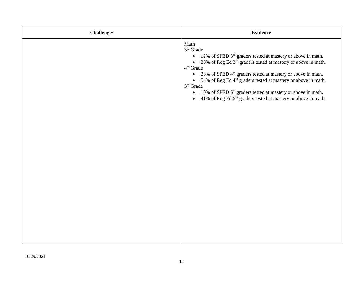| <b>Challenges</b> | <b>Evidence</b>                                                                                                                                                                                                                                                                                                                                                                                                                                                                                                                                                               |
|-------------------|-------------------------------------------------------------------------------------------------------------------------------------------------------------------------------------------------------------------------------------------------------------------------------------------------------------------------------------------------------------------------------------------------------------------------------------------------------------------------------------------------------------------------------------------------------------------------------|
|                   | Math<br>3rd Grade<br>• 12% of SPED 3 <sup>rd</sup> graders tested at mastery or above in math.<br>• 35% of Reg Ed 3 <sup>rd</sup> graders tested at mastery or above in math.<br>4 <sup>th</sup> Grade<br>23% of SPED 4 <sup>th</sup> graders tested at mastery or above in math.<br>$\bullet$<br>• 54% of Reg Ed 4 <sup>th</sup> graders tested at mastery or above in math.<br>$5^{\text{th}}$ Grade<br>10% of SPED 5 <sup>th</sup> graders tested at mastery or above in math.<br>$\bullet$<br>• 41% of Reg Ed 5 <sup>th</sup> graders tested at mastery or above in math. |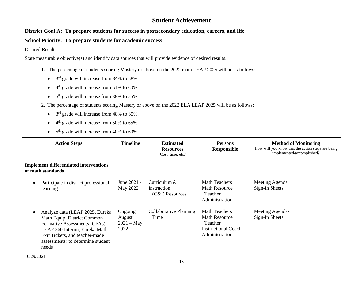### **Student Achievement**

### **District Goal A: To prepare students for success in postsecondary education, careers, and life**

#### **School Priority: To prepare students for academic success**

Desired Results:

- 1. The percentage of students scoring Mastery or above on the 2022 math LEAP 2025 will be as follows:
	- $3<sup>rd</sup>$  grade will increase from 34% to 58%.
	- $\bullet$  4<sup>th</sup> grade will increase from 51% to 60%.
	- $5<sup>th</sup>$  grade will increase from 38% to 55%.
- 2. The percentage of students scoring Mastery or above on the 2022 ELA LEAP 2025 will be as follows:
	- $3<sup>rd</sup>$  grade will increase from 48% to 65%.
	- $\bullet$  4<sup>th</sup> grade will increase from 50% to 65%.
	- $\bullet$  5<sup>th</sup> grade will increase from 40% to 60%.

| <b>Action Steps</b>                                                |                                                                                                                                                                                                         | <b>Timeline</b>                           | <b>Estimated</b><br><b>Resources</b><br>(Cost, time, etc.) | <b>Persons</b><br>Responsible                                                                    | <b>Method of Monitoring</b><br>How will you know that the action steps are being<br>implemented/accomplished? |
|--------------------------------------------------------------------|---------------------------------------------------------------------------------------------------------------------------------------------------------------------------------------------------------|-------------------------------------------|------------------------------------------------------------|--------------------------------------------------------------------------------------------------|---------------------------------------------------------------------------------------------------------------|
| <b>Implement differentiated interventions</b><br>of math standards |                                                                                                                                                                                                         |                                           |                                                            |                                                                                                  |                                                                                                               |
| learning                                                           | Participate in district professional                                                                                                                                                                    | June 2021 -<br>May 2022                   | Curriculum &<br>Instruction<br>(C&I) Resources             | <b>Math Teachers</b><br><b>Math Resource</b><br>Teacher<br>Administration                        | Meeting Agenda<br>Sign-In Sheets                                                                              |
| needs                                                              | Analyze data (LEAP 2025, Eureka<br>Math Equip, District Common<br>Formative Assessments (CFAs),<br>LEAP 360 Interim, Eureka Math<br>Exit Tickets, and teacher-made<br>assessments) to determine student | Ongoing<br>August<br>$2021 - May$<br>2022 | Collaborative Planning<br>Time                             | <b>Math Teachers</b><br><b>Math Resource</b><br>Teacher<br>Instructional Coach<br>Administration | Meeting Agendas<br>Sign-In Sheets                                                                             |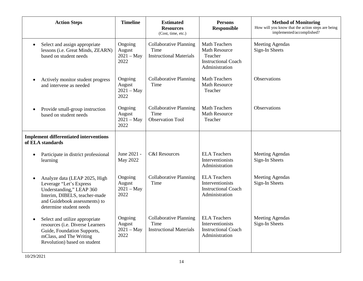|           | <b>Action Steps</b>                                                                                                                                                               | <b>Timeline</b>                           | <b>Estimated</b><br><b>Resources</b><br>(Cost, time, etc.)              | <b>Persons</b><br><b>Responsible</b>                                                                    | <b>Method of Monitoring</b><br>How will you know that the action steps are being<br>implemented/accomplished? |
|-----------|-----------------------------------------------------------------------------------------------------------------------------------------------------------------------------------|-------------------------------------------|-------------------------------------------------------------------------|---------------------------------------------------------------------------------------------------------|---------------------------------------------------------------------------------------------------------------|
|           | Select and assign appropriate<br>lessons (i.e. Great Minds, ZEARN)<br>based on student needs                                                                                      | Ongoing<br>August<br>$2021 - May$<br>2022 | <b>Collaborative Planning</b><br>Time<br><b>Instructional Materials</b> | <b>Math Teachers</b><br><b>Math Resource</b><br>Teacher<br><b>Instructional Coach</b><br>Administration | <b>Meeting Agendas</b><br>Sign-In Sheets                                                                      |
|           | Actively monitor student progress<br>and intervene as needed                                                                                                                      | Ongoing<br>August<br>$2021 - May$<br>2022 | <b>Collaborative Planning</b><br>Time                                   | <b>Math Teachers</b><br><b>Math Resource</b><br>Teacher                                                 | Observations                                                                                                  |
| $\bullet$ | Provide small-group instruction<br>based on student needs                                                                                                                         | Ongoing<br>August<br>$2021 - May$<br>2022 | <b>Collaborative Planning</b><br>Time<br><b>Observation Tool</b>        | <b>Math Teachers</b><br><b>Math Resource</b><br>Teacher                                                 | Observations                                                                                                  |
|           | <b>Implement differentiated interventions</b><br>of ELA standards                                                                                                                 |                                           |                                                                         |                                                                                                         |                                                                                                               |
| $\bullet$ | Participate in district professional<br>learning                                                                                                                                  | June 2021 -<br>May 2022                   | <b>C&amp;I</b> Resources                                                | <b>ELA Teachers</b><br>Interventionists<br>Administration                                               | <b>Meeting Agendas</b><br>Sign-In Sheets                                                                      |
| $\bullet$ | Analyze data (LEAP 2025, High<br>Leverage "Let's Express<br>Understanding," LEAP 360<br>Interim, DIBELS, teacher-made<br>and Guidebook assessments) to<br>determine student needs | Ongoing<br>August<br>$2021 - May$<br>2022 | <b>Collaborative Planning</b><br>Time                                   | <b>ELA Teachers</b><br>Interventionists<br><b>Instructional Coach</b><br>Administration                 | <b>Meeting Agendas</b><br>Sign-In Sheets                                                                      |
|           | Select and utilize appropriate<br>resources (i.e. Diverse Learners<br>Guide, Foundation Supports,<br>mClass, and The Writing<br>Revolution) based on student                      | Ongoing<br>August<br>$2021 - May$<br>2022 | <b>Collaborative Planning</b><br>Time<br><b>Instructional Materials</b> | <b>ELA Teachers</b><br>Interventionists<br><b>Instructional Coach</b><br>Administration                 | <b>Meeting Agendas</b><br>Sign-In Sheets                                                                      |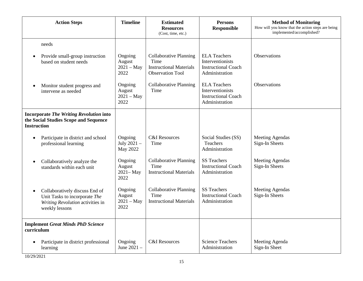| <b>Action Steps</b>                                                                                                                | <b>Timeline</b>                           | <b>Estimated</b><br><b>Resources</b><br>(Cost, time, etc.)                                         | <b>Persons</b><br><b>Responsible</b>                                                    | <b>Method of Monitoring</b><br>How will you know that the action steps are being<br>implemented/accomplished? |
|------------------------------------------------------------------------------------------------------------------------------------|-------------------------------------------|----------------------------------------------------------------------------------------------------|-----------------------------------------------------------------------------------------|---------------------------------------------------------------------------------------------------------------|
| needs                                                                                                                              |                                           |                                                                                                    |                                                                                         |                                                                                                               |
| Provide small-group instruction<br>$\bullet$<br>based on student needs                                                             | Ongoing<br>August<br>$2021 - May$<br>2022 | <b>Collaborative Planning</b><br>Time<br><b>Instructional Materials</b><br><b>Observation Tool</b> | <b>ELA Teachers</b><br>Interventionists<br><b>Instructional Coach</b><br>Administration | Observations                                                                                                  |
| Monitor student progress and<br>intervene as needed                                                                                | Ongoing<br>August<br>$2021 - May$<br>2022 | <b>Collaborative Planning</b><br>Time                                                              | <b>ELA Teachers</b><br>Interventionists<br><b>Instructional Coach</b><br>Administration | <b>Observations</b>                                                                                           |
| <b>Incorporate The Writing Revolution into</b><br>the Social Studies Scope and Sequence<br><b>Instruction</b>                      |                                           |                                                                                                    |                                                                                         |                                                                                                               |
| Participate in district and school<br>$\bullet$<br>professional learning                                                           | Ongoing<br>July 2021 -<br>May 2022        | <b>C&amp;I</b> Resources<br>Time                                                                   | Social Studies (SS)<br>Teachers<br>Administration                                       | <b>Meeting Agendas</b><br>Sign-In Sheets                                                                      |
| Collaboratively analyze the<br>$\bullet$<br>standards within each unit                                                             | Ongoing<br>August<br>$2021 - May$<br>2022 | <b>Collaborative Planning</b><br>Time<br><b>Instructional Materials</b>                            | <b>SS Teachers</b><br><b>Instructional Coach</b><br>Administration                      | <b>Meeting Agendas</b><br>Sign-In Sheets                                                                      |
| Collaboratively discuss End of<br>$\bullet$<br>Unit Tasks to incorporate The<br>Writing Revolution activities in<br>weekly lessons | Ongoing<br>August<br>$2021 - May$<br>2022 | <b>Collaborative Planning</b><br>Time<br><b>Instructional Materials</b>                            | <b>SS Teachers</b><br><b>Instructional Coach</b><br>Administration                      | <b>Meeting Agendas</b><br>Sign-In Sheets                                                                      |
| <b>Implement Great Minds PhD Science</b><br>curriculum                                                                             |                                           |                                                                                                    |                                                                                         |                                                                                                               |
| Participate in district professional<br>$\bullet$<br>learning                                                                      | Ongoing<br>June 2021 -                    | <b>C&amp;I</b> Resources                                                                           | <b>Science Teachers</b><br>Administration                                               | Meeting Agenda<br>Sign-In Sheet                                                                               |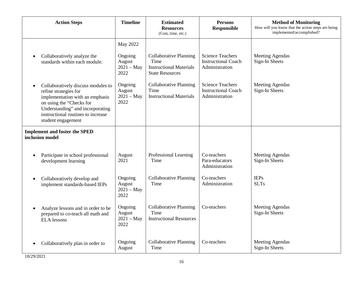| <b>Action Steps</b>                                                                                                                                                                                                        | <b>Timeline</b>                                       | <b>Estimated</b><br><b>Resources</b><br>(Cost, time, etc.)                                        | <b>Persons</b><br><b>Responsible</b>                                    | <b>Method of Monitoring</b><br>How will you know that the action steps are being<br>implemented/accomplished? |
|----------------------------------------------------------------------------------------------------------------------------------------------------------------------------------------------------------------------------|-------------------------------------------------------|---------------------------------------------------------------------------------------------------|-------------------------------------------------------------------------|---------------------------------------------------------------------------------------------------------------|
| Collaboratively analyze the<br>$\bullet$<br>standards within each module.                                                                                                                                                  | May 2022<br>Ongoing<br>August<br>$2021 - May$<br>2022 | <b>Collaborative Planning</b><br>Time<br><b>Instructional Materials</b><br><b>State Resources</b> | <b>Science Teachers</b><br><b>Instructional Coach</b><br>Administration | <b>Meeting Agendas</b><br>Sign-In Sheets                                                                      |
| Collaboratively discuss modules to<br>refine strategies for<br>implementation with an emphasis<br>on using the "Checks for<br>Understanding" and incorporating<br>instructional routines to increase<br>student engagement | Ongoing<br>August<br>$2021 - May$<br>2022             | <b>Collaborative Planning</b><br>Time<br><b>Instructional Materials</b>                           | <b>Science Teachers</b><br><b>Instructional Coach</b><br>Administration | <b>Meeting Agendas</b><br>Sign-In Sheets                                                                      |
| <b>Implement and foster the SPED</b><br>inclusion model                                                                                                                                                                    |                                                       |                                                                                                   |                                                                         |                                                                                                               |
| Participate in school professional<br>$\bullet$<br>development learning                                                                                                                                                    | August<br>2021                                        | Professional Learning<br>Time                                                                     | Co-teachers<br>Para-educators<br>Administration                         | <b>Meeting Agendas</b><br>Sign-In Sheets                                                                      |
| Collaboratively develop and<br>$\bullet$<br>implement standards-based IEPs                                                                                                                                                 | Ongoing<br>August<br>$2021 - May$<br>2022             | Collaborative Planning<br>Time                                                                    | Co-teachers<br>Administration                                           | <b>IEPs</b><br><b>SLTs</b>                                                                                    |
| Analyze lessons and in order to be<br>$\bullet$<br>prepared to co-teach all math and<br><b>ELA</b> lessons                                                                                                                 | Ongoing<br>August<br>$2021 - May$<br>2022             | <b>Collaborative Planning</b><br>Time<br><b>Instructional Resources</b>                           | Co-teachers                                                             | <b>Meeting Agendas</b><br>Sign-In Sheets                                                                      |
| Collaboratively plan in order to                                                                                                                                                                                           | Ongoing<br>August                                     | <b>Collaborative Planning</b><br>Time                                                             | Co-teachers                                                             | <b>Meeting Agendas</b><br>Sign-In Sheets                                                                      |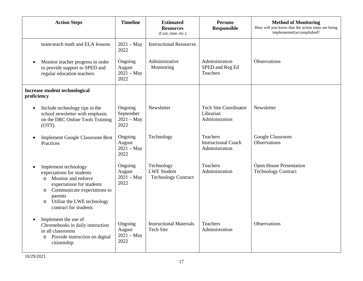| <b>Action Steps</b>                                                                                                                                                                                                                                  | <b>Timeline</b>                              | <b>Estimated</b><br><b>Resources</b><br>(Cost, time, etc.)     | <b>Persons</b><br><b>Responsible</b>                        | <b>Method of Monitoring</b><br>How will you know that the action steps are being<br>implemented/accomplished? |
|------------------------------------------------------------------------------------------------------------------------------------------------------------------------------------------------------------------------------------------------------|----------------------------------------------|----------------------------------------------------------------|-------------------------------------------------------------|---------------------------------------------------------------------------------------------------------------|
| team-teach math and ELA lessons                                                                                                                                                                                                                      | $2021 - May$<br>2022                         | <b>Instructional Resources</b>                                 |                                                             |                                                                                                               |
| Monitor teacher progress in order<br>to provide support to SPED and<br>regular education teachers                                                                                                                                                    | Ongoing<br>August<br>$2021 - May$<br>2022    | Administrative<br>Monitoring                                   | Administration<br>SPED and Reg Ed<br>Teachers               | <b>Observations</b>                                                                                           |
| <b>Increase student technological</b><br>proficiency                                                                                                                                                                                                 |                                              |                                                                |                                                             |                                                                                                               |
| Include technology tips in the<br>$\bullet$<br>school newsletter with emphasis<br>on the DRC Online Tools Training<br>(OTT)                                                                                                                          | Ongoing<br>September<br>$2021 - May$<br>2022 | Newsletter                                                     | <b>Tech Site Coordinator</b><br>Librarian<br>Administration | Newsletter                                                                                                    |
| <b>Implement Google Classroom Best</b><br>Practices                                                                                                                                                                                                  | Ongoing<br>August<br>$2021 - May$<br>2022    | Technology                                                     | Teachers<br><b>Instructional Coach</b><br>Administration    | Google Classroom<br><b>Observations</b>                                                                       |
| Implement technology<br>$\bullet$<br>expectations for students<br>Monitor and enforce<br>$\circ$<br>expectations for students<br>Communicate expectations to<br>$\circ$<br>parents<br>Utilize the LWE technology<br>$\circ$<br>contract for students | Ongoing<br>August<br>$2021 - May$<br>2022    | Technology<br><b>LWE Student</b><br><b>Technology Contract</b> | <b>Teachers</b><br>Administration                           | <b>Open House Presentation</b><br><b>Technology Contract</b>                                                  |
| Implement the use of<br>Chromebooks in daily instruction<br>in all classrooms<br>Provide instruction on digital<br>$\circ$<br>citizenship                                                                                                            | Ongoing<br>August<br>$2021 - May$<br>2022    | <b>Instructional Materials</b><br><b>Tech Site</b>             | <b>Teachers</b><br>Administration                           | Observations                                                                                                  |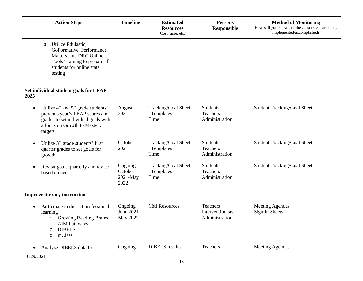| <b>Action Steps</b>                                                                                                                                                                          | <b>Timeline</b>                          | <b>Estimated</b><br><b>Resources</b><br>(Cost, time, etc.) | <b>Persons</b><br><b>Responsible</b>                  | <b>Method of Monitoring</b><br>How will you know that the action steps are being<br>implemented/accomplished? |
|----------------------------------------------------------------------------------------------------------------------------------------------------------------------------------------------|------------------------------------------|------------------------------------------------------------|-------------------------------------------------------|---------------------------------------------------------------------------------------------------------------|
| Utilize Edulastic,<br>$\circ$<br>GoFormative, Performance<br>Matters, and DRC Online<br>Tools Training to prepare all<br>students for online state<br>testing                                |                                          |                                                            |                                                       |                                                                                                               |
| Set individual student goals for LEAP<br>2025                                                                                                                                                |                                          |                                                            |                                                       |                                                                                                               |
| Utilize $4th$ and $5th$ grade students'<br>$\bullet$<br>previous year's LEAP scores and<br>grades to set individual goals with<br>a focus on Growth to Mastery<br>targets                    | August<br>2021                           | Tracking/Goal Sheet<br>Templates<br>Time                   | <b>Students</b><br>Teachers<br>Administration         | <b>Student Tracking/Goal Sheets</b>                                                                           |
| Utilize 3 <sup>rd</sup> grade students' first<br>$\bullet$<br>quarter grades to set goals for<br>growth                                                                                      | October<br>2021                          | Tracking/Goal Sheet<br>Templates<br>Time                   | <b>Students</b><br><b>Teachers</b><br>Administration  | <b>Student Tracking/Goal Sheets</b>                                                                           |
| Revisit goals quarterly and revise<br>$\bullet$<br>based on need                                                                                                                             | Ongoing<br>October<br>2021-May<br>2022   | Tracking/Goal Sheet<br>Templates<br>Time                   | <b>Students</b><br><b>Teachers</b><br>Administration  | <b>Student Tracking/Goal Sheets</b>                                                                           |
| <b>Improve literacy instruction</b>                                                                                                                                                          |                                          |                                                            |                                                       |                                                                                                               |
| Participate in district professional<br>$\bullet$<br>learning<br><b>Growing Reading Brains</b><br>$\circ$<br><b>AIM Pathways</b><br>$\circ$<br><b>DIBELS</b><br>$\circ$<br>mClass<br>$\circ$ | Ongoing<br>June 2021-<br><b>May 2022</b> | <b>C&amp;I</b> Resources                                   | <b>Teachers</b><br>Interventionists<br>Administration | <b>Meeting Agendas</b><br>Sign-in Sheets                                                                      |
| Analyze DIBELS data to                                                                                                                                                                       | Ongoing                                  | <b>DIBELS</b> results                                      | <b>Teachers</b>                                       | Meeting Agendas                                                                                               |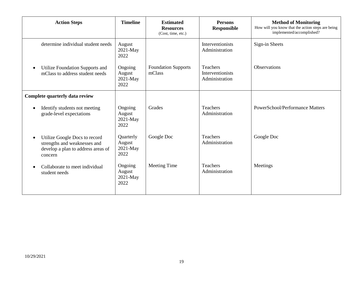| <b>Action Steps</b>                                                                                            | <b>Timeline</b>                         | <b>Estimated</b><br><b>Resources</b><br>(Cost, time, etc.) | <b>Persons</b><br><b>Responsible</b>           | <b>Method of Monitoring</b><br>How will you know that the action steps are being<br>implemented/accomplished? |
|----------------------------------------------------------------------------------------------------------------|-----------------------------------------|------------------------------------------------------------|------------------------------------------------|---------------------------------------------------------------------------------------------------------------|
| determine individual student needs                                                                             | August<br>2021-May<br>2022              |                                                            | Interventionists<br>Administration             | Sign-in Sheets                                                                                                |
| Utilize Foundation Supports and<br>mClass to address student needs                                             | Ongoing<br>August<br>$2021-May$<br>2022 | <b>Foundation Supports</b><br>mClass                       | Teachers<br>Interventionists<br>Administration | <b>Observations</b>                                                                                           |
| Complete quarterly data review                                                                                 |                                         |                                                            |                                                |                                                                                                               |
| Identify students not meeting<br>$\bullet$<br>grade-level expectations                                         | Ongoing<br>August<br>2021-May<br>2022   | Grades                                                     | Teachers<br>Administration                     | <b>PowerSchool/Performance Matters</b>                                                                        |
| Utilize Google Docs to record<br>strengths and weaknesses and<br>develop a plan to address areas of<br>concern | Quarterly<br>August<br>2021-May<br>2022 | Google Doc                                                 | <b>Teachers</b><br>Administration              | Google Doc                                                                                                    |
| Collaborate to meet individual<br>$\bullet$<br>student needs                                                   | Ongoing<br>August<br>2021-May<br>2022   | <b>Meeting Time</b>                                        | Teachers<br>Administration                     | Meetings                                                                                                      |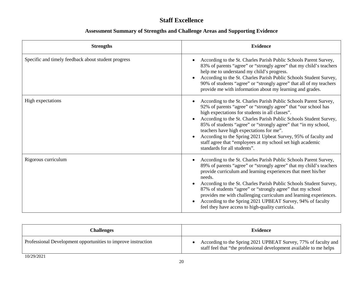# **Staff Excellence**

| <b>Strengths</b>                                    | <b>Evidence</b>                                                                                                                                                                                                                                                                                                                                                                                                                                                                                                                                |
|-----------------------------------------------------|------------------------------------------------------------------------------------------------------------------------------------------------------------------------------------------------------------------------------------------------------------------------------------------------------------------------------------------------------------------------------------------------------------------------------------------------------------------------------------------------------------------------------------------------|
| Specific and timely feedback about student progress | According to the St. Charles Parish Public Schools Parent Survey,<br>83% of parents "agree" or "strongly agree" that my child's teachers<br>help me to understand my child's progress.<br>According to the St. Charles Parish Public Schools Student Survey,<br>90% of students "agree" or "strongly agree" that all of my teachers<br>provide me with information about my learning and grades.                                                                                                                                               |
| High expectations                                   | According to the St. Charles Parish Public Schools Parent Survey,<br>92% of parents "agree" or "strongly agree" that "our school has<br>high expectations for students in all classes".<br>According to the St. Charles Parish Public Schools Student Survey,<br>85% of students "agree" or "strongly agree" that "in my school,<br>teachers have high expectations for me".<br>According to the Spring 2021 Upbeat Survey, 95% of faculty and<br>staff agree that "employees at my school set high academic<br>standards for all students".   |
| Rigorous curriculum                                 | According to the St. Charles Parish Public Schools Parent Survey,<br>89% of parents "agree" or "strongly agree" that my child's teachers<br>provide curriculum and learning experiences that meet his/her<br>needs.<br>According to the St. Charles Parish Public Schools Student Survey,<br>87% of students "agree" or "strongly agree" that my school<br>provides me with challenging curriculum and learning experiences.<br>According to the Spring 2021 UPBEAT Survey, 94% of faculty<br>feel they have access to high-quality curricula. |

| <b>Challenges</b>                                             | <b>Evidence</b>                                                                                                                       |
|---------------------------------------------------------------|---------------------------------------------------------------------------------------------------------------------------------------|
| Professional Development opportunities to improve instruction | According to the Spring 2021 UPBEAT Survey, 77% of faculty and<br>staff feel that "the professional development available to me helps |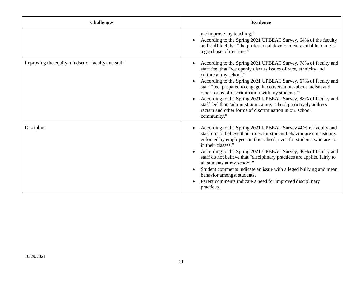| <b>Challenges</b>                                 | <b>Evidence</b>                                                                                                                                                                                                                                                                                                                                                                                                                                                                                                                                                                                |
|---------------------------------------------------|------------------------------------------------------------------------------------------------------------------------------------------------------------------------------------------------------------------------------------------------------------------------------------------------------------------------------------------------------------------------------------------------------------------------------------------------------------------------------------------------------------------------------------------------------------------------------------------------|
|                                                   | me improve my teaching."<br>According to the Spring 2021 UPBEAT Survey, 64% of the faculty<br>and staff feel that "the professional development available to me is<br>a good use of my time."                                                                                                                                                                                                                                                                                                                                                                                                  |
| Improving the equity mindset of faculty and staff | According to the Spring 2021 UPBEAT Survey, 78% of faculty and<br>staff feel that "we openly discuss issues of race, ethnicity and<br>culture at my school."<br>According to the Spring 2021 UPBEAT Survey, 67% of faculty and<br>staff "feel prepared to engage in conversations about racism and<br>other forms of discrimination with my students."<br>According to the Spring 2021 UPBEAT Survey, 88% of faculty and<br>staff feel that "administrators at my school proactively address<br>racism and other forms of discrimination in our school<br>community."                          |
| Discipline                                        | According to the Spring 2021 UPBEAT Survey 40% of faculty and<br>staff do not believe that "rules for student behavior are consistently<br>enforced by employees in this school, even for students who are not<br>in their classes."<br>According to the Spring 2021 UPBEAT Survey, 46% of faculty and<br>staff do not believe that "disciplinary practices are applied fairly to<br>all students at my school."<br>Student comments indicate an issue with alleged bullying and mean<br>behavior amongst students.<br>Parent comments indicate a need for improved disciplinary<br>practices. |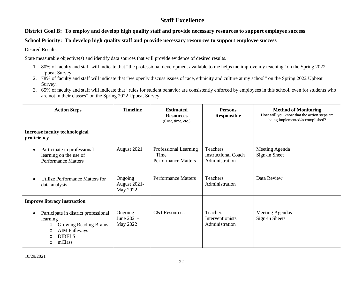## **Staff Excellence**

#### **District Goal B: To employ and develop high quality staff and provide necessary resources to support employee success**

#### **School Priority: To develop high quality staff and provide necessary resources to support employee success**

Desired Results:

- 1. 80% of faculty and staff will indicate that "the professional development available to me helps me improve my teaching" on the Spring 2022 Upbeat Survey.
- 2. 78% of faculty and staff will indicate that "we openly discuss issues of race, ethnicity and culture at my school" on the Spring 2022 Upbeat Survey.
- 3. 65% of faculty and staff will indicate that "rules for student behavior are consistently enforced by employees in this school, even for students who are not in their classes" on the Spring 2022 Upbeat Survey.

| <b>Action Steps</b>                                                                                                                                                 | <b>Timeline</b>                     | <b>Estimated</b><br><b>Resources</b><br>(Cost, time, etc.)  | <b>Persons</b><br><b>Responsible</b>                     | <b>Method of Monitoring</b><br>How will you know that the action steps are<br>being implemented/accomplished? |
|---------------------------------------------------------------------------------------------------------------------------------------------------------------------|-------------------------------------|-------------------------------------------------------------|----------------------------------------------------------|---------------------------------------------------------------------------------------------------------------|
| <b>Increase faculty technological</b><br>proficiency                                                                                                                |                                     |                                                             |                                                          |                                                                                                               |
| Participate in professional<br>$\epsilon$<br>learning on the use of<br><b>Performance Matters</b>                                                                   | August 2021                         | Professional Learning<br>Time<br><b>Performance Matters</b> | Teachers<br><b>Instructional Coach</b><br>Administration | Meeting Agenda<br>Sign-In Sheet                                                                               |
| Utilize Performance Matters for<br>data analysis                                                                                                                    | Ongoing<br>August 2021-<br>May 2022 | <b>Performance Matters</b>                                  | <b>Teachers</b><br>Administration                        | Data Review                                                                                                   |
| <b>Improve literacy instruction</b>                                                                                                                                 |                                     |                                                             |                                                          |                                                                                                               |
| Participate in district professional<br>$\bullet$<br>learning<br>Growing Reading Brains<br>O<br><b>AIM Pathways</b><br>O<br><b>DIBELS</b><br>$\circ$<br>mClass<br>O | Ongoing<br>June 2021-<br>May 2022   | <b>C&amp;I</b> Resources                                    | Teachers<br>Interventionists<br>Administration           | <b>Meeting Agendas</b><br>Sign-in Sheets                                                                      |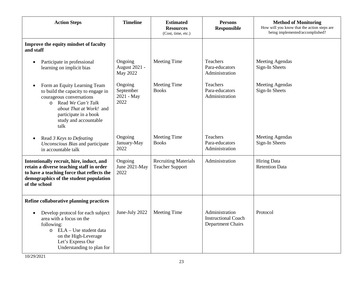| <b>Action Steps</b>                                                                                                                                                                                         | <b>Timeline</b>                             | <b>Estimated</b><br><b>Resources</b><br>(Cost, time, etc.) | <b>Persons</b><br><b>Responsible</b>                                     | <b>Method of Monitoring</b><br>How will you know that the action steps are<br>being implemented/accomplished? |
|-------------------------------------------------------------------------------------------------------------------------------------------------------------------------------------------------------------|---------------------------------------------|------------------------------------------------------------|--------------------------------------------------------------------------|---------------------------------------------------------------------------------------------------------------|
| Improve the equity mindset of faculty<br>and staff                                                                                                                                                          |                                             |                                                            |                                                                          |                                                                                                               |
| Participate in professional<br>$\bullet$<br>learning on implicit bias                                                                                                                                       | Ongoing<br><b>August 2021 -</b><br>May 2022 | Meeting Time                                               | Teachers<br>Para-educators<br>Administration                             | <b>Meeting Agendas</b><br>Sign-In Sheets                                                                      |
| Form an Equity Learning Team<br>to build the capacity to engage in<br>courageous conversations<br>o Read We Can't Talk<br>about That at Work! and<br>participate in a book<br>study and accountable<br>talk | Ongoing<br>September<br>2021 - May<br>2022  | <b>Meeting Time</b><br><b>Books</b>                        | Teachers<br>Para-educators<br>Administration                             | <b>Meeting Agendas</b><br>Sign-In Sheets                                                                      |
| Read 3 Keys to Defeating<br>Unconscious Bias and participate<br>in accountable talk                                                                                                                         | Ongoing<br>January-May<br>2022              | <b>Meeting Time</b><br><b>Books</b>                        | <b>Teachers</b><br>Para-educators<br>Administration                      | <b>Meeting Agendas</b><br>Sign-In Sheets                                                                      |
| Intentionally recruit, hire, induct, and<br>retain a diverse teaching staff in order<br>to have a teaching force that reflects the<br>demographics of the student population<br>of the school               | Ongoing<br>June 2021-May<br>2022            | <b>Recruiting Materials</b><br><b>Teacher Support</b>      | Administration                                                           | <b>Hiring Data</b><br><b>Retention Data</b>                                                                   |
| Refine collaborative planning practices                                                                                                                                                                     |                                             |                                                            |                                                                          |                                                                                                               |
| Develop protocol for each subject<br>$\bullet$<br>area with a focus on the<br>following:<br>o ELA - Use student data<br>on the High-Leverage<br>Let's Express Our<br>Understanding to plan for              | June-July 2022                              | <b>Meeting Time</b>                                        | Administration<br><b>Instructional Coach</b><br><b>Department Chairs</b> | Protocol                                                                                                      |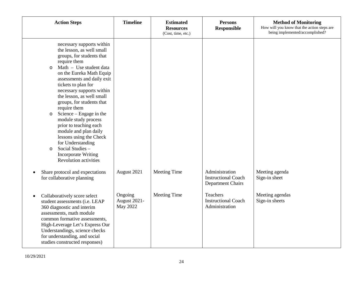| <b>Action Steps</b>                                                                                                                                                                                                                                                                                                                                                                                                                                                                                                                                                                             | <b>Timeline</b>                            | <b>Estimated</b><br><b>Resources</b><br>(Cost, time, etc.) | <b>Persons</b><br><b>Responsible</b>                              | <b>Method of Monitoring</b><br>How will you know that the action steps are<br>being implemented/accomplished? |
|-------------------------------------------------------------------------------------------------------------------------------------------------------------------------------------------------------------------------------------------------------------------------------------------------------------------------------------------------------------------------------------------------------------------------------------------------------------------------------------------------------------------------------------------------------------------------------------------------|--------------------------------------------|------------------------------------------------------------|-------------------------------------------------------------------|---------------------------------------------------------------------------------------------------------------|
| necessary supports within<br>the lesson, as well small<br>groups, for students that<br>require them<br>Math - Use student data<br>$\circ$<br>on the Eureka Math Equip<br>assessments and daily exit<br>tickets to plan for<br>necessary supports within<br>the lesson, as well small<br>groups, for students that<br>require them<br>Science – Engage in the<br>$\circ$<br>module study process<br>prior to teaching each<br>module and plan daily<br>lessons using the Check<br>for Understanding<br>Social Studies -<br>$\circ$<br><b>Incorporate Writing</b><br><b>Revolution activities</b> |                                            |                                                            |                                                                   |                                                                                                               |
| Share protocol and expectations<br>for collaborative planning                                                                                                                                                                                                                                                                                                                                                                                                                                                                                                                                   | August 2021                                | <b>Meeting Time</b>                                        | Administration<br><b>Instructional Coach</b><br>Department Chairs | Meeting agenda<br>Sign-in sheet                                                                               |
| Collaboratively score select<br>student assessments (i.e. LEAP<br>360 diagnostic and interim<br>assessments, math module<br>common formative assessments,<br>High-Leverage Let's Express Our<br>Understandings, science checks<br>for understanding, and social<br>studies constructed responses)                                                                                                                                                                                                                                                                                               | Ongoing<br>August 2021-<br><b>May 2022</b> | <b>Meeting Time</b>                                        | Teachers<br><b>Instructional Coach</b><br>Administration          | Meeting agendas<br>Sign-in sheets                                                                             |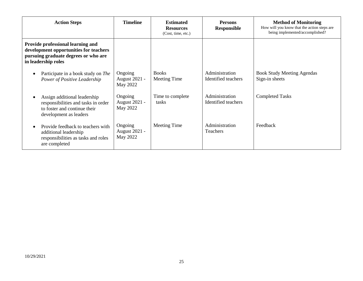| <b>Action Steps</b>                                                                                                                        | <b>Timeline</b>                             | <b>Estimated</b><br><b>Resources</b><br>(Cost, time, etc.) | <b>Persons</b><br><b>Responsible</b>  | <b>Method of Monitoring</b><br>How will you know that the action steps are<br>being implemented/accomplished? |
|--------------------------------------------------------------------------------------------------------------------------------------------|---------------------------------------------|------------------------------------------------------------|---------------------------------------|---------------------------------------------------------------------------------------------------------------|
| Provide professional learning and<br>development opportunities for teachers<br>pursuing graduate degrees or who are<br>in leadership roles |                                             |                                                            |                                       |                                                                                                               |
| Participate in a book study on The<br>Power of Positive Leadership                                                                         | Ongoing<br><b>August 2021 -</b><br>May 2022 | <b>Books</b><br>Meeting Time                               | Administration<br>Identified teachers | <b>Book Study Meeting Agendas</b><br>Sign-in sheets                                                           |
| Assign additional leadership<br>responsibilities and tasks in order<br>to foster and continue their<br>development as leaders              | Ongoing<br><b>August 2021 -</b><br>May 2022 | Time to complete<br>tasks                                  | Administration<br>Identified teachers | <b>Completed Tasks</b>                                                                                        |
| Provide feedback to teachers with<br>additional leadership<br>responsibilities as tasks and roles<br>are completed                         | Ongoing<br><b>August 2021 -</b><br>May 2022 | Meeting Time                                               | Administration<br><b>Teachers</b>     | Feedback                                                                                                      |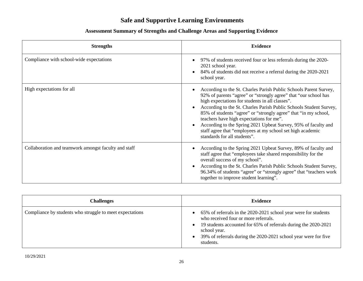# **Safe and Supportive Learning Environments**

| <b>Strengths</b>                                     | <b>Evidence</b>                                                                                                                                                                                                                                                                                                                                                                                                                                                                                                                              |
|------------------------------------------------------|----------------------------------------------------------------------------------------------------------------------------------------------------------------------------------------------------------------------------------------------------------------------------------------------------------------------------------------------------------------------------------------------------------------------------------------------------------------------------------------------------------------------------------------------|
| Compliance with school-wide expectations             | 97% of students received four or less referrals during the 2020-<br>2021 school year.<br>84% of students did not receive a referral during the 2020-2021<br>school year.                                                                                                                                                                                                                                                                                                                                                                     |
| High expectations for all                            | According to the St. Charles Parish Public Schools Parent Survey,<br>92% of parents "agree" or "strongly agree" that "our school has<br>high expectations for students in all classes".<br>According to the St. Charles Parish Public Schools Student Survey,<br>85% of students "agree" or "strongly agree" that "in my school,<br>teachers have high expectations for me".<br>According to the Spring 2021 Upbeat Survey, 95% of faculty and<br>staff agree that "employees at my school set high academic<br>standards for all students". |
| Collaboration and teamwork amongst faculty and staff | According to the Spring 2021 Upbeat Survey, 89% of faculty and<br>staff agree that "employees take shared responsibility for the<br>overall success of my school".<br>According to the St. Charles Parish Public Schools Student Survey,<br>96.34% of students "agree" or "strongly agree" that "teachers work<br>together to improve student learning".                                                                                                                                                                                     |

| <b>Challenges</b>                                        | <b>Evidence</b>                                                                                                                                                                                                                                                                         |
|----------------------------------------------------------|-----------------------------------------------------------------------------------------------------------------------------------------------------------------------------------------------------------------------------------------------------------------------------------------|
| Compliance by students who struggle to meet expectations | 65% of referrals in the 2020-2021 school year were for students<br>who received four or more referrals.<br>19 students accounted for 65% of referrals during the 2020-2021<br>$\bullet$<br>school year.<br>39% of referrals during the 2020-2021 school year were for five<br>students. |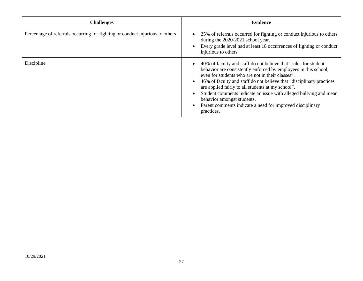| <b>Challenges</b>                                                             | <b>Evidence</b>                                                                                                                                                                                                                                                                                                                                                                                                                                                                                     |
|-------------------------------------------------------------------------------|-----------------------------------------------------------------------------------------------------------------------------------------------------------------------------------------------------------------------------------------------------------------------------------------------------------------------------------------------------------------------------------------------------------------------------------------------------------------------------------------------------|
| Percentage of referrals occurring for fighting or conduct injurious to others | 25% of referrals occurred for fighting or conduct injurious to others<br>during the 2020-2021 school year.<br>Every grade level had at least 18 occurrences of fighting or conduct<br>injurious to others.                                                                                                                                                                                                                                                                                          |
| Discipline                                                                    | 40% of faculty and staff do not believe that "rules for student"<br>behavior are consistently enforced by employees in this school,<br>even for students who are not in their classes".<br>46% of faculty and staff do not believe that "disciplinary practices"<br>are applied fairly to all students at my school".<br>Student comments indicate an issue with alleged bullying and mean<br>behavior amongst students.<br>Parent comments indicate a need for improved disciplinary<br>practices. |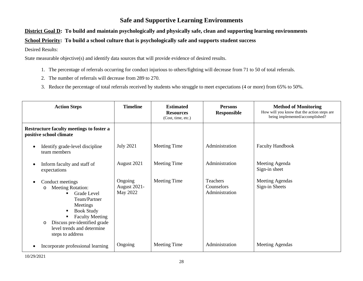### **Safe and Supportive Learning Environments**

#### **District Goal D: To build and maintain psychologically and physically safe, clean and supporting learning environments**

#### **School Priority: To build a school culture that is psychologically safe and supports student success**

#### Desired Results:

- 1. The percentage of referrals occurring for conduct injurious to others/fighting will decrease from 71 to 50 of total referrals.
- 2. The number of referrals will decrease from 289 to 270.
- 3. Reduce the percentage of total referrals received by students who struggle to meet expectations (4 or more) from 65% to 50%.

| <b>Action Steps</b>                                                                                                                                                                                                                                              | <b>Timeline</b>                            | <b>Estimated</b><br><b>Resources</b><br>(Cost, time, etc.) | <b>Persons</b><br><b>Responsible</b>            | <b>Method of Monitoring</b><br>How will you know that the action steps are<br>being implemented/accomplished? |
|------------------------------------------------------------------------------------------------------------------------------------------------------------------------------------------------------------------------------------------------------------------|--------------------------------------------|------------------------------------------------------------|-------------------------------------------------|---------------------------------------------------------------------------------------------------------------|
| Restructure faculty meetings to foster a<br>positive school climate                                                                                                                                                                                              |                                            |                                                            |                                                 |                                                                                                               |
| Identify grade-level discipline<br>$\epsilon$<br>team members                                                                                                                                                                                                    | <b>July 2021</b>                           | <b>Meeting Time</b>                                        | Administration                                  | <b>Faculty Handbook</b>                                                                                       |
| Inform faculty and staff of<br>expectations                                                                                                                                                                                                                      | August 2021                                | Meeting Time                                               | Administration                                  | Meeting Agenda<br>Sign-in sheet                                                                               |
| Conduct meetings<br><b>Meeting Rotation:</b><br>$\circ$<br>Grade Level<br>Team/Partner<br>Meetings<br><b>Book Study</b><br>$\blacksquare$<br><b>Faculty Meeting</b><br>Discuss pre-identified grade<br>$\circ$<br>level trends and determine<br>steps to address | Ongoing<br><b>August 2021-</b><br>May 2022 | Meeting Time                                               | <b>Teachers</b><br>Counselors<br>Administration | Meeting Agendas<br>Sign-in Sheets                                                                             |
| Incorporate professional learning                                                                                                                                                                                                                                | Ongoing                                    | Meeting Time                                               | Administration                                  | Meeting Agendas                                                                                               |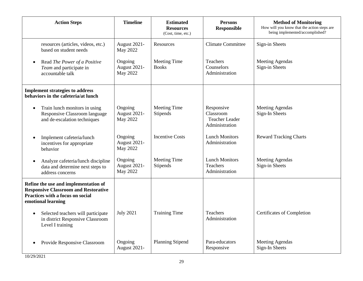| <b>Action Steps</b>                                                                                                                           | <b>Timeline</b>                            | <b>Estimated</b><br><b>Resources</b><br>(Cost, time, etc.) | <b>Persons</b><br><b>Responsible</b>                               | <b>Method of Monitoring</b><br>How will you know that the action steps are<br>being implemented/accomplished? |
|-----------------------------------------------------------------------------------------------------------------------------------------------|--------------------------------------------|------------------------------------------------------------|--------------------------------------------------------------------|---------------------------------------------------------------------------------------------------------------|
| resources (articles, videos, etc.)<br>based on student needs                                                                                  | August 2021-<br>May 2022                   | Resources                                                  | <b>Climate Committee</b>                                           | Sign-in Sheets                                                                                                |
| Read The Power of a Positive<br>$\bullet$<br>Team and participate in<br>accountable talk                                                      | Ongoing<br>August 2021-<br><b>May 2022</b> | <b>Meeting Time</b><br><b>Books</b>                        | <b>Teachers</b><br>Counselors<br>Administration                    | <b>Meeting Agendas</b><br>Sign-in Sheets                                                                      |
| <b>Implement strategies to address</b><br>behaviors in the cafeteria/at lunch                                                                 |                                            |                                                            |                                                                    |                                                                                                               |
| Train lunch monitors in using<br>$\bullet$<br>Responsive Classroom language<br>and de-escalation techniques                                   | Ongoing<br>August 2021-<br><b>May 2022</b> | <b>Meeting Time</b><br>Stipends                            | Responsive<br>Classroom<br><b>Teacher Leader</b><br>Administration | <b>Meeting Agendas</b><br>Sign-In Sheets                                                                      |
| Implement cafeteria/lunch<br>incentives for appropriate<br>behavior                                                                           | Ongoing<br>August 2021-<br><b>May 2022</b> | <b>Incentive Costs</b>                                     | <b>Lunch Monitors</b><br>Administration                            | <b>Reward Tracking Charts</b>                                                                                 |
| Analyze cafeteria/lunch discipline<br>$\bullet$<br>data and determine next steps to<br>address concerns                                       | Ongoing<br>August 2021-<br><b>May 2022</b> | Meeting Time<br>Stipends                                   | <b>Lunch Monitors</b><br><b>Teachers</b><br>Administration         | <b>Meeting Agendas</b><br>Sign-in Sheets                                                                      |
| Refine the use and implementation of<br><b>Responsive Classroom and Restorative</b><br>Practices with a focus on social<br>emotional learning |                                            |                                                            |                                                                    |                                                                                                               |
| Selected teachers will participate<br>in district Responsive Classroom<br>Level I training                                                    | <b>July 2021</b>                           | <b>Training Time</b>                                       | <b>Teachers</b><br>Administration                                  | Certificates of Completion                                                                                    |
| Provide Responsive Classroom                                                                                                                  | Ongoing<br>August 2021-                    | <b>Planning Stipend</b>                                    | Para-educators<br>Responsive                                       | <b>Meeting Agendas</b><br>Sign-In Sheets                                                                      |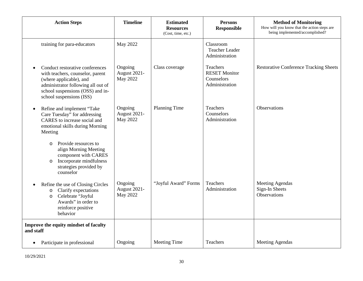| <b>Action Steps</b>                                                                                                                                                                                  | <b>Timeline</b>                            | <b>Estimated</b><br><b>Resources</b><br>(Cost, time, etc.) | <b>Persons</b><br><b>Responsible</b>                             | <b>Method of Monitoring</b><br>How will you know that the action steps are<br>being implemented/accomplished? |
|------------------------------------------------------------------------------------------------------------------------------------------------------------------------------------------------------|--------------------------------------------|------------------------------------------------------------|------------------------------------------------------------------|---------------------------------------------------------------------------------------------------------------|
| training for para-educators                                                                                                                                                                          | May 2022                                   |                                                            | Classroom<br><b>Teacher Leader</b><br>Administration             |                                                                                                               |
| Conduct restorative conferences<br>with teachers, counselor, parent<br>(where applicable), and<br>administrator following all out of<br>school suspensions (OSS) and in-<br>school suspensions (ISS) | Ongoing<br>August 2021-<br><b>May 2022</b> | Class coverage                                             | Teachers<br><b>RESET Monitor</b><br>Counselors<br>Administration | <b>Restorative Conference Tracking Sheets</b>                                                                 |
| Refine and implement "Take<br>Care Tuesday" for addressing<br>CARES to increase social and<br>emotional skills during Morning<br>Meeting                                                             | Ongoing<br>August 2021-<br><b>May 2022</b> | Planning Time                                              | <b>Teachers</b><br>Counselors<br>Administration                  | Observations                                                                                                  |
| Provide resources to<br>$\circ$<br>align Morning Meeting<br>component with CARES<br>Incorporate mindfulness<br>$\circ$<br>strategies provided by<br>counselor                                        |                                            |                                                            |                                                                  |                                                                                                               |
| Refine the use of Closing Circles<br>Clarify expectations<br>$\circ$<br>Celebrate "Joyful<br>$\circ$<br>Awards" in order to<br>reinforce positive<br>behavior                                        | Ongoing<br>August 2021-<br><b>May 2022</b> | "Joyful Award" Forms                                       | Teachers<br>Administration                                       | <b>Meeting Agendas</b><br>Sign-In Sheets<br><b>Observations</b>                                               |
| Improve the equity mindset of faculty<br>and staff                                                                                                                                                   |                                            |                                                            |                                                                  |                                                                                                               |
| Participate in professional                                                                                                                                                                          | Ongoing                                    | <b>Meeting Time</b>                                        | Teachers                                                         | <b>Meeting Agendas</b>                                                                                        |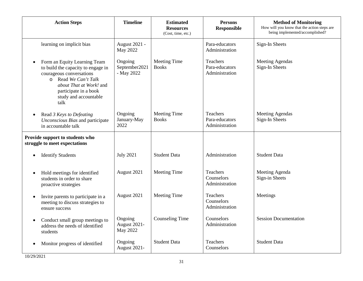| <b>Action Steps</b>                                                                                                                                                                                                      | <b>Timeline</b>                        | <b>Estimated</b><br><b>Resources</b><br>(Cost, time, etc.) | <b>Persons</b><br><b>Responsible</b>                | <b>Method of Monitoring</b><br>How will you know that the action steps are<br>being implemented/accomplished? |
|--------------------------------------------------------------------------------------------------------------------------------------------------------------------------------------------------------------------------|----------------------------------------|------------------------------------------------------------|-----------------------------------------------------|---------------------------------------------------------------------------------------------------------------|
| learning on implicit bias                                                                                                                                                                                                | August 2021 -<br>May 2022              |                                                            | Para-educators<br>Administration                    | Sign-In Sheets                                                                                                |
| Form an Equity Learning Team<br>$\bullet$<br>to build the capacity to engage in<br>courageous conversations<br>o Read We Can't Talk<br>about That at Work! and<br>participate in a book<br>study and accountable<br>talk | Ongoing<br>September2021<br>- May 2022 | <b>Meeting Time</b><br><b>Books</b>                        | Teachers<br>Para-educators<br>Administration        | <b>Meeting Agendas</b><br>Sign-In Sheets                                                                      |
| Read 3 Keys to Defeating<br>Unconscious Bias and participate<br>in accountable talk                                                                                                                                      | Ongoing<br>January-May<br>2022         | Meeting Time<br><b>Books</b>                               | <b>Teachers</b><br>Para-educators<br>Administration | <b>Meeting Agendas</b><br>Sign-In Sheets                                                                      |
| Provide support to students who<br>struggle to meet expectations                                                                                                                                                         |                                        |                                                            |                                                     |                                                                                                               |
| <b>Identify Students</b>                                                                                                                                                                                                 | <b>July 2021</b>                       | <b>Student Data</b>                                        | Administration                                      | <b>Student Data</b>                                                                                           |
| Hold meetings for identified<br>$\bullet$<br>students in order to share<br>proactive strategies                                                                                                                          | August 2021                            | Meeting Time                                               | Teachers<br>Counselors<br>Administration            | Meeting Agenda<br>Sign-in Sheets                                                                              |
| Invite parents to participate in a<br>$\bullet$<br>meeting to discuss strategies to<br>ensure success                                                                                                                    | August 2021                            | <b>Meeting Time</b>                                        | Teachers<br>Counselors<br>Administration            | Meetings                                                                                                      |
| Conduct small group meetings to<br>$\bullet$<br>address the needs of identified<br>students                                                                                                                              | Ongoing<br>August 2021-<br>May 2022    | <b>Counseling Time</b>                                     | Counselors<br>Administration                        | <b>Session Documentation</b>                                                                                  |
| Monitor progress of identified                                                                                                                                                                                           | Ongoing<br>August 2021-                | <b>Student Data</b>                                        | <b>Teachers</b><br>Counselors                       | <b>Student Data</b>                                                                                           |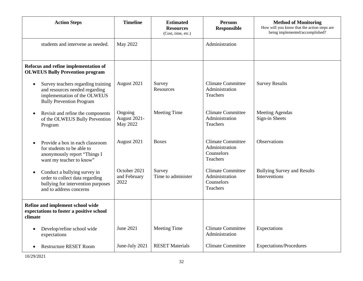| <b>Action Steps</b>                                                                                                                                  | <b>Timeline</b>                      | <b>Estimated</b><br><b>Resources</b><br>(Cost, time, etc.) | <b>Persons</b><br><b>Responsible</b>                                        | <b>Method of Monitoring</b><br>How will you know that the action steps are<br>being implemented/accomplished? |
|------------------------------------------------------------------------------------------------------------------------------------------------------|--------------------------------------|------------------------------------------------------------|-----------------------------------------------------------------------------|---------------------------------------------------------------------------------------------------------------|
| students and intervene as needed.                                                                                                                    | May 2022                             |                                                            | Administration                                                              |                                                                                                               |
| Refocus and refine implementation of<br><b>OLWEUS Bully Prevention program</b>                                                                       |                                      |                                                            |                                                                             |                                                                                                               |
| Survey teachers regarding training<br>$\bullet$<br>and resources needed regarding<br>implementation of the OLWEUS<br><b>Bully Prevention Program</b> | August 2021                          | Survey<br>Resources                                        | <b>Climate Committee</b><br>Administration<br><b>Teachers</b>               | <b>Survey Results</b>                                                                                         |
| Revisit and refine the components<br>of the OLWEUS Bully Prevention<br>Program                                                                       | Ongoing<br>August 2021-<br>May 2022  | <b>Meeting Time</b>                                        | <b>Climate Committee</b><br>Administration<br><b>Teachers</b>               | <b>Meeting Agendas</b><br>Sign-in Sheets                                                                      |
| Provide a box in each classroom<br>for students to be able to<br>anonymously report "Things I<br>want my teacher to know"                            | August 2021                          | <b>Boxes</b>                                               | <b>Climate Committee</b><br>Administration<br>Counselors<br><b>Teachers</b> | <b>Observations</b>                                                                                           |
| Conduct a bullying survey in<br>$\bullet$<br>order to collect data regarding<br>bullying for intervention purposes<br>and to address concerns        | October 2021<br>and February<br>2022 | Survey<br>Time to administer                               | <b>Climate Committee</b><br>Administration<br>Counselors<br>Teachers        | <b>Bullying Survey and Results</b><br>Interventions                                                           |
| Refine and implement school wide<br>expectations to foster a positive school<br>climate                                                              |                                      |                                                            |                                                                             |                                                                                                               |
| Develop/refine school wide<br>$\bullet$<br>expectations                                                                                              | June 2021                            | <b>Meeting Time</b>                                        | <b>Climate Committee</b><br>Administration                                  | Expectations                                                                                                  |
| <b>Restructure RESET Room</b>                                                                                                                        | June-July 2021                       | <b>RESET Materials</b>                                     | <b>Climate Committee</b>                                                    | Expectations/Procedures                                                                                       |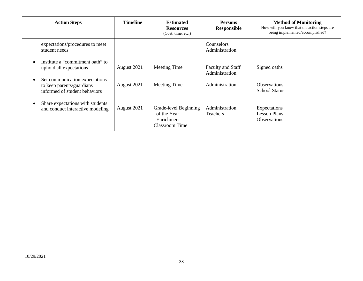| <b>Action Steps</b>                                                                          | <b>Timeline</b> | <b>Estimated</b><br><b>Resources</b><br>(Cost, time, etc.)           | <b>Persons</b><br><b>Responsible</b>       | <b>Method of Monitoring</b><br>How will you know that the action steps are<br>being implemented/accomplished? |
|----------------------------------------------------------------------------------------------|-----------------|----------------------------------------------------------------------|--------------------------------------------|---------------------------------------------------------------------------------------------------------------|
| expectations/procedures to meet<br>student needs                                             |                 |                                                                      | <b>Counselors</b><br>Administration        |                                                                                                               |
| Institute a "commitment oath" to<br>uphold all expectations                                  | August 2021     | Meeting Time                                                         | <b>Faculty and Staff</b><br>Administration | Signed oaths                                                                                                  |
| Set communication expectations<br>to keep parents/guardians<br>informed of student behaviors | August 2021     | Meeting Time                                                         | Administration                             | <b>Observations</b><br><b>School Status</b>                                                                   |
| Share expectations with students<br>and conduct interactive modeling                         | August 2021     | Grade-level Beginning<br>of the Year<br>Enrichment<br>Classroom Time | Administration<br><b>Teachers</b>          | Expectations<br><b>Lesson Plans</b><br><b>Observations</b>                                                    |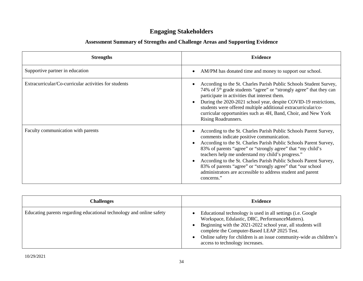# **Engaging Stakeholders**

| <b>Strengths</b>                                      | <b>Evidence</b>                                                                                                                                                                                                                                                                                                                                                                                                                                                                                                          |
|-------------------------------------------------------|--------------------------------------------------------------------------------------------------------------------------------------------------------------------------------------------------------------------------------------------------------------------------------------------------------------------------------------------------------------------------------------------------------------------------------------------------------------------------------------------------------------------------|
| Supportive partner in education                       | AM/PM has donated time and money to support our school.                                                                                                                                                                                                                                                                                                                                                                                                                                                                  |
| Extracurricular/Co-curricular activities for students | According to the St. Charles Parish Public Schools Student Survey,<br>74% of 5 <sup>th</sup> grade students "agree" or "strongly agree" that they can<br>participate in activities that interest them.<br>During the 2020-2021 school year, despite COVID-19 restrictions,<br>students were offered multiple additional extracurricular/co-<br>curricular opportunities such as 4H, Band, Choir, and New York<br>Rising Roadrunners.                                                                                     |
| Faculty communication with parents                    | According to the St. Charles Parish Public Schools Parent Survey,<br>comments indicate positive communication.<br>According to the St. Charles Parish Public Schools Parent Survey,<br>83% of parents "agree" or "strongly agree" that "my child's<br>teachers help me understand my child's progress."<br>According to the St. Charles Parish Public Schools Parent Survey,<br>83% of parents "agree" or "strongly agree" that "our school<br>administrators are accessible to address student and parent<br>concerns." |

| <b>Challenges</b>                                                    | Evidence                                                                                                                                                                                                                                                                                                                                       |
|----------------------------------------------------------------------|------------------------------------------------------------------------------------------------------------------------------------------------------------------------------------------------------------------------------------------------------------------------------------------------------------------------------------------------|
| Educating parents regarding educational technology and online safety | Educational technology is used in all settings ( <i>i.e.</i> Google<br>Workspace, Edulastic, DRC, PerformanceMatters).<br>Beginning with the 2021-2022 school year, all students will<br>complete the Computer-Based LEAP 2025 Test.<br>Online safety for children is an issue community-wide as children's<br>access to technology increases. |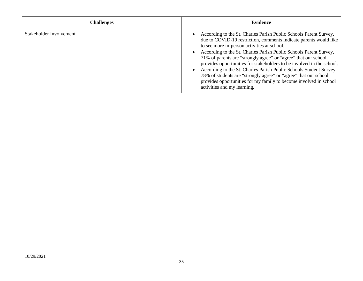| <b>Challenges</b>       | Evidence                                                                                                                                                                                                                                                                                                                                                                                                                                                                                                                                                                                                                                           |
|-------------------------|----------------------------------------------------------------------------------------------------------------------------------------------------------------------------------------------------------------------------------------------------------------------------------------------------------------------------------------------------------------------------------------------------------------------------------------------------------------------------------------------------------------------------------------------------------------------------------------------------------------------------------------------------|
| Stakeholder Involvement | According to the St. Charles Parish Public Schools Parent Survey,<br>due to COVID-19 restriction, comments indicate parents would like<br>to see more in-person activities at school.<br>According to the St. Charles Parish Public Schools Parent Survey,<br>71% of parents are "strongly agree" or "agree" that our school<br>provides opportunities for stakeholders to be involved in the school.<br>According to the St. Charles Parish Public Schools Student Survey,<br>78% of students are "strongly agree" or "agree" that our school<br>provides opportunities for my family to become involved in school<br>activities and my learning. |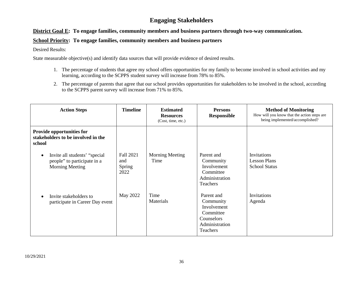## **Engaging Stakeholders**

#### **District Goal E: To engage families, community members and business partners through two-way communication.**

#### **School Priority: To engage families, community members and business partners**

Desired Results:

- 1. The percentage of students that agree my school offers opportunities for my family to become involved in school activities and my learning, according to the SCPPS student survey will increase from 78% to 85%.
- 2. The percentage of parents that agree that our school provides opportunities for stakeholders to be involved in the school, according to the SCPPS parent survey will increase from 71% to 85%.

| <b>Action Steps</b>                                                                     | <b>Timeline</b>                           | <b>Estimated</b><br><b>Resources</b><br>(Cost, time, etc.) | <b>Persons</b><br><b>Responsible</b>                                                            | <b>Method of Monitoring</b><br>How will you know that the action steps are<br>being implemented/accomplished? |
|-----------------------------------------------------------------------------------------|-------------------------------------------|------------------------------------------------------------|-------------------------------------------------------------------------------------------------|---------------------------------------------------------------------------------------------------------------|
| <b>Provide opportunities for</b><br>stakeholders to be involved in the<br>school        |                                           |                                                            |                                                                                                 |                                                                                                               |
| Invite all students' "special"<br>people" to participate in a<br><b>Morning Meeting</b> | Fall 2021<br>and<br><b>Spring</b><br>2022 | <b>Morning Meeting</b><br>Time                             | Parent and<br>Community<br>Involvement<br>Committee<br>Administration<br>Teachers               | Invitations<br><b>Lesson Plans</b><br><b>School Status</b>                                                    |
| Invite stakeholders to<br>participate in Career Day event                               | May 2022                                  | Time<br>Materials                                          | Parent and<br>Community<br>Involvement<br>Committee<br>Counselors<br>Administration<br>Teachers | Invitations<br>Agenda                                                                                         |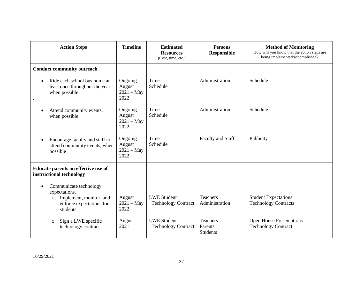| <b>Action Steps</b>                                                                                                                | <b>Timeline</b>                           | <b>Estimated</b><br><b>Resources</b><br>(Cost, time, etc.) | <b>Persons</b><br><b>Responsible</b>          | <b>Method of Monitoring</b><br>How will you know that the action steps are<br>being implemented/accomplished? |
|------------------------------------------------------------------------------------------------------------------------------------|-------------------------------------------|------------------------------------------------------------|-----------------------------------------------|---------------------------------------------------------------------------------------------------------------|
| <b>Conduct community outreach</b>                                                                                                  |                                           |                                                            |                                               |                                                                                                               |
| Ride each school bus home at<br>least once throughout the year,<br>when possible                                                   | Ongoing<br>August<br>$2021 - May$<br>2022 | Time<br>Schedule                                           | Administration                                | Schedule                                                                                                      |
| Attend community events,<br>when possible                                                                                          | Ongoing<br>August<br>$2021 - May$<br>2022 | Time<br>Schedule                                           | Administration                                | Schedule                                                                                                      |
| Encourage faculty and staff to<br>attend community events, when<br>possible                                                        | Ongoing<br>August<br>$2021 - May$<br>2022 | Time<br>Schedule                                           | Faculty and Staff                             | Publicity                                                                                                     |
| Educate parents on effective use of<br>instructional technology                                                                    |                                           |                                                            |                                               |                                                                                                               |
| Communicate technology<br>$\bullet$<br>expectations.<br>Implement, monitor, and<br>$\circ$<br>enforce expectations for<br>students | August<br>$2021 - May$<br>2022            | <b>LWE Student</b><br><b>Technology Contract</b>           | Teachers<br>Administration                    | <b>Student Expectations</b><br><b>Technology Contracts</b>                                                    |
| Sign a LWE specific<br>$\circ$<br>technology contract                                                                              | August<br>2021                            | <b>LWE Student</b><br><b>Technology Contract</b>           | <b>Teachers</b><br>Parents<br><b>Students</b> | <b>Open House Presentations</b><br><b>Technology Contract</b>                                                 |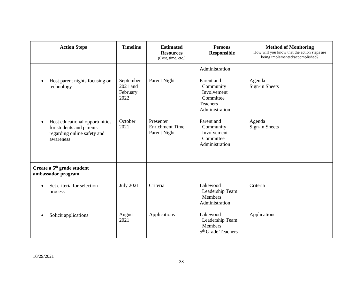| <b>Action Steps</b>                                                                                                 | <b>Timeline</b>                           | <b>Estimated</b><br><b>Resources</b><br>(Cost, time, etc.) | <b>Persons</b><br><b>Responsible</b>                                                                | <b>Method of Monitoring</b><br>How will you know that the action steps are<br>being implemented/accomplished? |
|---------------------------------------------------------------------------------------------------------------------|-------------------------------------------|------------------------------------------------------------|-----------------------------------------------------------------------------------------------------|---------------------------------------------------------------------------------------------------------------|
| Host parent nights focusing on<br>technology                                                                        | September<br>2021 and<br>February<br>2022 | Parent Night                                               | Administration<br>Parent and<br>Community<br>Involvement<br>Committee<br>Teachers<br>Administration | Agenda<br>Sign-in Sheets                                                                                      |
| Host educational opportunities<br>$\bullet$<br>for students and parents<br>regarding online safety and<br>awareness | October<br>2021                           | Presenter<br><b>Enrichment Time</b><br>Parent Night        | Parent and<br>Community<br>Involvement<br>Committee<br>Administration                               | Agenda<br>Sign-in Sheets                                                                                      |
| Create a 5 <sup>th</sup> grade student<br>ambassador program<br>Set criteria for selection                          | <b>July 2021</b>                          | Criteria                                                   | Lakewood                                                                                            | Criteria                                                                                                      |
| process                                                                                                             |                                           |                                                            | Leadership Team<br>Members<br>Administration                                                        |                                                                                                               |
| Solicit applications                                                                                                | August<br>2021                            | Applications                                               | Lakewood<br>Leadership Team<br>Members<br>5 <sup>th</sup> Grade Teachers                            | Applications                                                                                                  |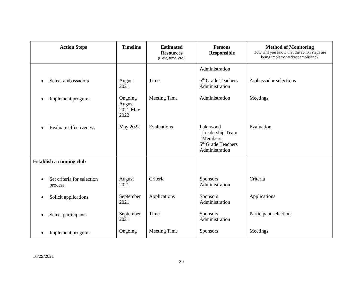| <b>Action Steps</b>                   | <b>Timeline</b>                       | <b>Estimated</b><br><b>Resources</b><br>(Cost, time, etc.) | <b>Persons</b><br><b>Responsible</b>                                                       | <b>Method of Monitoring</b><br>How will you know that the action steps are<br>being implemented/accomplished? |
|---------------------------------------|---------------------------------------|------------------------------------------------------------|--------------------------------------------------------------------------------------------|---------------------------------------------------------------------------------------------------------------|
|                                       |                                       |                                                            | Administration                                                                             |                                                                                                               |
| Select ambassadors                    | August<br>2021                        | Time                                                       | 5 <sup>th</sup> Grade Teachers<br>Administration                                           | Ambassador selections                                                                                         |
| Implement program                     | Ongoing<br>August<br>2021-May<br>2022 | Meeting Time                                               | Administration                                                                             | Meetings                                                                                                      |
| <b>Evaluate effectiveness</b>         | May 2022                              | Evaluations                                                | Lakewood<br>Leadership Team<br>Members<br>5 <sup>th</sup> Grade Teachers<br>Administration | Evaluation                                                                                                    |
| Establish a running club              |                                       |                                                            |                                                                                            |                                                                                                               |
| Set criteria for selection<br>process | August<br>2021                        | Criteria                                                   | <b>Sponsors</b><br>Administration                                                          | Criteria                                                                                                      |
| Solicit applications                  | September<br>2021                     | Applications                                               | <b>Sponsors</b><br>Administration                                                          | Applications                                                                                                  |
| Select participants                   | September<br>2021                     | Time                                                       | <b>Sponsors</b><br>Administration                                                          | Participant selections                                                                                        |
| Implement program                     | Ongoing                               | Meeting Time                                               | <b>Sponsors</b>                                                                            | Meetings                                                                                                      |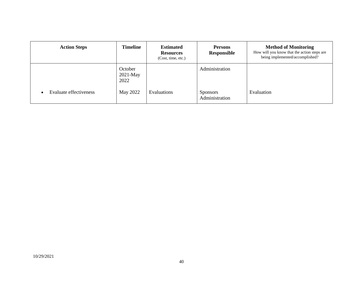| <b>Action Steps</b>           | <b>Timeline</b>               | <b>Estimated</b><br><b>Resources</b><br>(Cost, time, etc.) | <b>Persons</b><br><b>Responsible</b> | <b>Method of Monitoring</b><br>How will you know that the action steps are<br>being implemented/accomplished? |
|-------------------------------|-------------------------------|------------------------------------------------------------|--------------------------------------|---------------------------------------------------------------------------------------------------------------|
|                               | October<br>$2021-May$<br>2022 |                                                            | Administration                       |                                                                                                               |
| <b>Evaluate effectiveness</b> | May 2022                      | Evaluations                                                | <b>Sponsors</b><br>Administration    | Evaluation                                                                                                    |